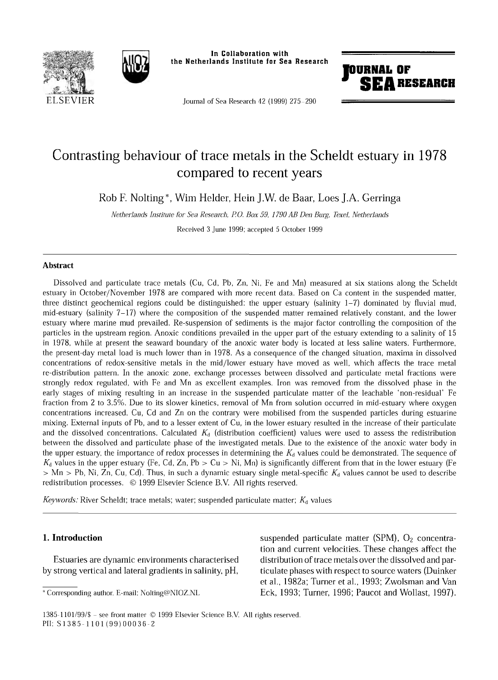



In Collaboration with the Netherlands Institute for Sea Research

Journal of Sea Research 42 (1999) 275-290



# Contrasting behaviour of trace metals in the Scheldt estuary in 1978 compared to recent years

Rob R Nolting\*, Wim Helder, Hein J.W. de Baar, Loes J.A. Gerringa

*Netherlands Institute for Sea Research, RO. Box 59, 1790 AB Den Burg, Texel, Netherlands*

Received 3 June 1999; accepted 5 October 1999

#### **Abstract**

Dissolved and particulate trace metals (Cu, Cd, Pb, Zn, Ni, Fe and Mn) measured at six stations along the Scheldt estuary in October/November 1978 are compared with more recent data. Based on Ca content in the suspended matter, three distinct geochemical regions could be distinguished: the upper estuary (salinity  $1-7$ ) dominated by fluvial mud, mid-estuary (salinity  $7-17$ ) where the composition of the suspended matter remained relatively constant, and the lower estuary where marine mud prevailed. Re-suspension of sediments is the major factor controlling the composition of the particles in the upstream region. Anoxic conditions prevailed in the upper part of the estuary extending to a salinity of 15 in 1978, while at present the seaward boundary of the anoxic water body is located at less saline waters. Furthermore, the present-day metal load is much lower than in 1978. As a consequence of the changed situation, maxima in dissolved concentrations of redox-sensitive metals in the mid/lower estuary have moved as well, which affects the trace metal re-distribution pattern. In the anoxic zone, exchange processes between dissolved and particulate metal fractions were strongly redox regulated, with Fe and Mn as excellent examples. Iron was removed from the dissolved phase in the early stages of mixing resulting in an increase in the suspended particulate matter of the leachable 'non-residual' Fe fraction from 2 to 3.5%. Due to its slower kinetics, removal of Mn from solution occurred in mid-estuary where oxygen concentrations increased. Cu, Cd and Zn on the contrary were mobilised from the suspended particles during estuarine mixing. External inputs of Pb, and to a lesser extent of Cu, in the lower estuary resulted in the increase of their particulate and the dissolved concentrations. Calculated  $K_d$  (distribution coefficient) values were used to assess the redistribution between the dissolved and particulate phase of the investigated metals. Due to the existence of the anoxic water body in the upper estuary, the importance of redox processes in determining the  $K_d$  values could be demonstrated. The sequence of  $K_d$  values in the upper estuary (Fe, Cd, Zn, Pb  $> Cu > Ni$ , Mn) is significantly different from that in the lower estuary (Fe  $> Mn$  > Pb, Ni, Zn, Cu, Cd). Thus, in such a dynamic estuary single metal-specific  $K_d$  values cannot be used to describe redistribution processes. © 1999 Elsevier Science B.V. All rights reserved.

*Keywords:* River Scheldt; trace metals; water; suspended particulate matter;  $K_d$  values

# **1. Introduction**

Estuaries are dynamic environments characterised by strong vertical and lateral gradients in salinity, pH,

suspended particulate matter (SPM),  $O<sub>2</sub>$  concentration and current velocities. These changes affect the distribution of trace metals over the dissolved and particulate phases with respect to source waters (Duinker et ah, 1982a; Turner et al., 1993; Zwolsman and Van Eck, 1993; Turner, 1996; Paucot and Wollast, 1997).

<sup>\*</sup> Corresponding author. E-mail: [Nolting@NIOZ.NL](mailto:Nolting@NIOZ.NL)

<sup>1385-1101/99/\$ -</sup> see front matter © 1999 Elsevier Science B.V. All rights reserved. PII: S1385-1 101 (99)00036-2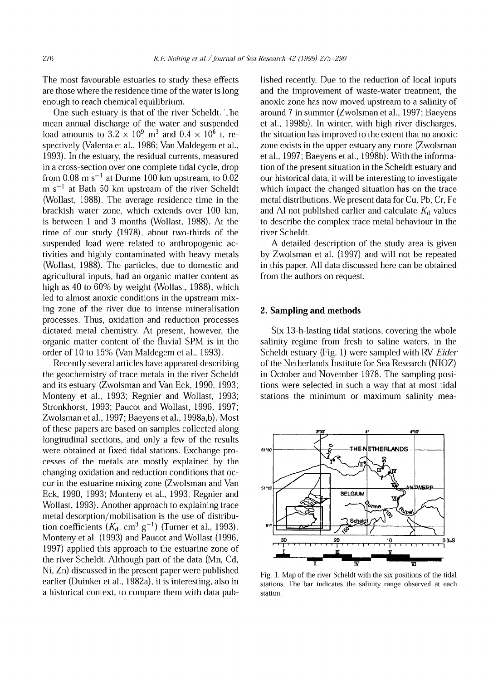The most favourable estuaries to study these effects are those where the residence time of the water is long enough to reach chemical equilibrium.

One such estuary is that of the river Scheldt. The mean annual discharge of the water and suspended load amounts to  $3.2 \times 10^9$  m<sup>3</sup> and  $0.4 \times 10^6$  t, respectively (Valenta et al., 1986; Van Maldegem et al., 1993). In the estuary, the residual currents, measured in a cross-section over one complete tidal cycle, drop from  $0.08 \text{ m s}^{-1}$  at Durme 100 km upstream, to  $0.02$  $m s^{-1}$  at Bath 50 km upstream of the river Scheldt (Wollast, 1988). The average residence time in the brackish water zone, which extends over 100 km. is between 1 and 3 months (Wollast, 1988). At the time of our study (1978), about two-thirds of the suspended load were related to anthropogenic activities and highly contaminated with heavy metals (Wollast, 1988). The particles, due to domestic and agricultural inputs, had an organic matter content as high as 40 to 60% by weight (Wollast, 1988), which led to almost anoxic conditions in the upstream mixing zone of the river due to intense mineralisation processes. Thus, oxidation and reduction processes dictated metal chemistry. At present, however, the organic matter content of the fluvial SPM is in the order of 10 to 15% (Van Maldegem et al., 1993).

Recently several articles have appeared describing the geochemistry of trace metals in the river Scheldt and its estuary (Zwolsman and Van Eck, 1990, 1993; Monteny et al., 1993; Regnier and Wollast, 1993; Stronkhorst, 1993; Paucot and Wollast, 1996, 1997; Zwolsman et al., 1997; Baeyens etal., 1998a,b). Most of these papers are based on samples collected along longitudinal sections, and only a few of the results were obtained at fixed tidal stations. Exchange processes of the metals are mostly explained by the changing oxidation and reduction conditions that occur in the estuarine mixing zone (Zwolsman and Van Eck, 1990, 1993; Monteny et al., 1993; Regnier and Wollast, 1993). Another approach to explaining trace metal desorption/mobilisation is the use of distribution coefficients  $(K_d, cm^3 \text{ g}^{-1})$  (Turner et al., 1993). Monteny et al. (1993) and Paucot and Wollast (1996, 1997) applied this approach to the estuarine zone of the river Scheldt. Although part of the data (Mn, Cd, Ni, Zn) discussed in the present paper were published earlier (Duinker et al., 1982a), it is interesting, also in a historical context, to compare them with data pub-

lished recently. Due to the reduction of local inputs and the improvement of waste-water treatment, the anoxic zone has now moved upstream to a salinity of around 7 in summer (Zwolsman et al., 1997; Baeyens et al., 1998b). In winter, with high river discharges, the situation has improved to the extent that no anoxic zone exists in the upper estuary any more (Zwolsman et al., 1997; Baeyens et al., 1998b). With the information of the present situation in the Scheldt estuary and our historical data, it will be interesting to investigate which impact the changed situation has on the trace metal distributions. We present data for Cu, Pb, Cr, Fe and Al not published earlier and calculate *K&* values to describe the complex trace metal behaviour in the river Scheldt.

A detailed description of the study area is given by Zwolsman et al. (1997) and will not be repeated in this paper. All data discussed here can be obtained from the authors on request.

## **2. Sampling and methods**

Six 13-h-lasting tidal stations, covering the whole salinity regime from fresh to saline waters, in the Scheldt estuary (Fig. 1) were sampled with RV *Eider* of the Netherlands Institute for Sea Research (NIOZ) in October and November 1978. The sampling positions were selected in such a way that at most tidal stations the minimum or maximum salinity mea-



Fig. 1. Map of the river Scheldt with the six positions of the tidal stations. The bar indicates the salinity range observed at each station.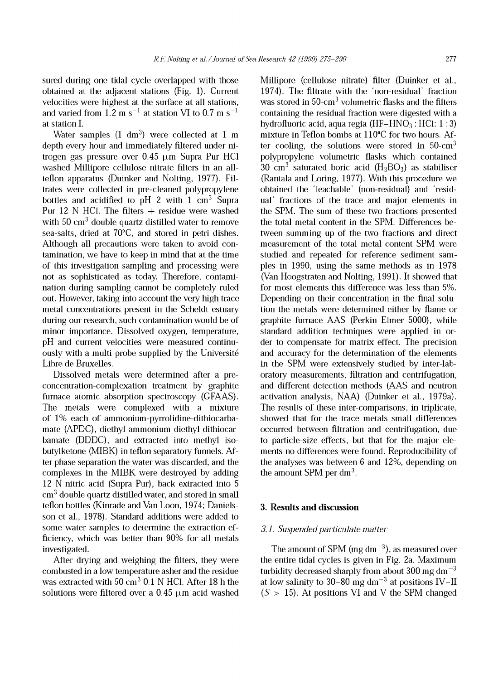sured during one tidal cycle overlapped with those obtained at the adjacent stations (Fig. 1). Current velocities were highest at the surface at all stations, and varied from 1.2 m s<sup>-1</sup> at station VI to 0.7 m s<sup>-1</sup> at station I.

Water samples  $(1 \text{ dm}^3)$  were collected at 1 m depth every hour and immediately filtered under nitrogen gas pressure over 0.45  $\mu$ m Supra Pur HCl washed Millipore cellulose nitrate filters in an allteflon apparatus (Duinker and Nolting, 1977). Filtrates were collected in pre-cleaned polypropylene bottles and acidified to pH 2 with  $1 \text{ cm}^3$  Supra Pur 12 N HC1. The filters + residue were washed with  $50 \text{ cm}^3$  double quartz distilled water to remove sea-salts, dried at 70°C, and stored in petri dishes. Although all precautions were taken to avoid contamination, we have to keep in mind that at the time of this investigation sampling and processing were not as sophisticated as today. Therefore, contamination during sampling cannot be completely ruled out. However, taking into account the very high trace metal concentrations present in the Scheldt estuary during our research, such contamination would be of minor importance. Dissolved oxygen, temperature, pH and current velocities were measured continuously with a multi probe supplied by the Université Libre de Bruxelles.

Dissolved metals were determined after a preconcentration-complexation treatment by graphite furnace atomic absorption spectroscopy (GFAAS). The metals were complexed with a mixture of 1% each of ammonium-pyrrolidine-dithiocarbamate (APDC), diethyl-ammonium-diethyl-dithiocarbamate (DDDC), and extracted into methyl isobutylketone (MIBK) in teflon separatory funnels. After phase separation the water was discarded, and the complexes in the MIBK were destroyed by adding 12 N nitric acid (Supra Pur), back extracted into 5 cm3 double quartz distilled water, and stored in small teflon bottles (Kinrade and Van Loon, 1974; Danielsson et al., 1978). Standard additions were added to some water samples to determine the extraction efficiency, which was better than 90% for all metals investigated.

After drying and weighing the filters, they were combusted in a low temperature asher and the residue was extracted with  $50 \text{ cm}^3$  0.1 N HCl. After 18 h the solutions were filtered over a 0.45  $\mu$ m acid washed

Millipore (cellulose nitrate) filter (Duinker et al., 1974). The filtrate with the 'non-residual' fraction was stored in  $50$ -cm<sup>3</sup> volumetric flasks and the filters containing the residual fraction were digested with a hydrofluoric acid, aqua regia  $(HF-HNO<sub>3</sub>:HCl: 1:3)$ mixture in Teflon bombs at 110°C for two hours. After cooling, the solutions were stored in  $50$ -cm<sup>3</sup> polypropylene volumetric flasks which contained 30  $\text{cm}^3$  saturated boric acid (H<sub>3</sub>BO<sub>3</sub>) as stabiliser (Rantala and Loring, 1977). With this procedure we obtained the 'leaehable' (non-residual) and 'residual' fractions of the trace and major elements in the SPM. The sum of these two fractions presented the total metal content in the SPM. Differences between summing up of the two fractions and direct measurement of the total metal content SPM were studied and repeated for reference sediment samples in 1990, using the same methods as in 1978 (Van Hoogstraten and Nolting, 1991). It showed that for most elements this difference was less than 5%. Depending on their concentration in the final solution the metals were determined either by flame or graphite furnace AAS (Perkin Elmer 5000), while standard addition techniques were applied in order to compensate for matrix effect. The precision and accuracy for the determination of the elements in the SPM were extensively studied by inter-laboratory measurements, filtration and centrifugation, and different detection methods (AAS and neutron activation analysis, NAA) (Duinker et al., 1979a). The results of these inter-comparisons, in triplicate, showed that for the trace metals small differences occurred between filtration and centrifugation, due to particle-size effects, but that for the major elements no differences were found. Reproducibility of the analyses was between  $6$  and  $12\%$ , depending on the amount SPM per  $dm^3$ .

### **3. Results and discussion**

## *3.1. Suspended particulate matter*

The amount of SPM (mg  $dm^{-3}$ ), as measured over the entire tidal cycles is given in Fig. 2a. Maximum turbidity decreased sharply from about 300 mg dm<sup> $-3$ </sup> at low salinity to 30–80 mg dm<sup>-3</sup> at positions IV–II  $(S > 15)$ . At positions VI and V the SPM changed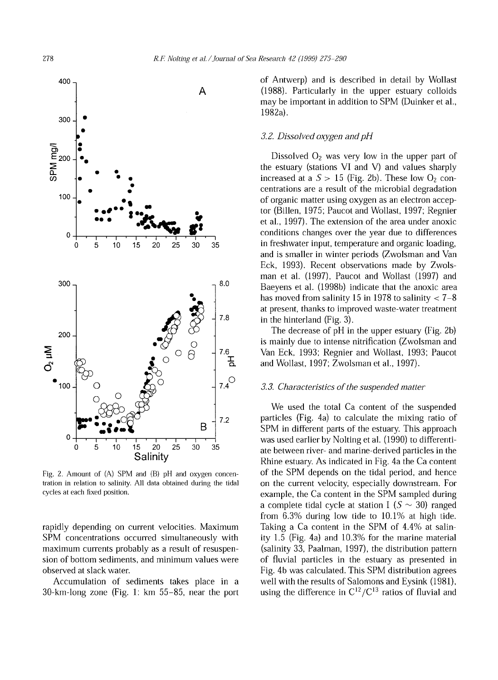

Fig. 2. Amount of (A) SPM and (B) pH and oxygen concentration in relation to salinity. All data obtained during the tidal cycles at each fixed position.

rapidly depending on current velocities. Maximum SPM concentrations occurred simultaneously with maximum currents probably as a result of resuspension of bottom sediments, and minimum values were observed at slack water.

Accumulation of sediments takes place in a 30-km-long zone (Fig. 1: km 55-85, near the port of Antwerp) and is described in detail by Wollast (1988). Particularly in the upper estuary colloids may be important in addition to SPM (Duinker et al., 1982a).

#### *3.2. Dissolved oxygen and pH*

Dissolved  $O_2$  was very low in the upper part of the estuary (stations VI and V) and values sharply increased at a  $S > 15$  (Fig. 2b). These low O<sub>2</sub> concentrations are a result of the microbial degradation of organic matter using oxygen as an electron acceptor (Billen, 1975; Paucot and Wollast, 1997; Regnier et al., 1997). The extension of the area under anoxic conditions changes over the year due to differences in freshwater input, temperature and organic loading, and is smaller in winter periods (Zwolsman and Van Eck, 1993). Recent observations made by Zwolsman et al. (1997), Paucot and Wollast (1997) and Baeyens et al. (1998b) indicate that the anoxic area has moved from salinity 15 in 1978 to salinity  $< 7-8$ at present, thanks to improved waste-water treatment in the hinterland (Fig. 3).

The decrease of pH in the upper estuary (Fig. 2b) is mainly due to intense nitrification (Zwolsman and Van Eck, 1993; Regnier and Wollast, 1993; Paucot and Wollast, 1997; Zwolsman et al., 1997).

#### *3.3. Characteristics of the suspended matter*

We used the total Ca content of the suspended particles (Fig. 4a) to calculate the mixing ratio of SPM in different parts of the estuary. This approach was used earlier by Nolting et al. (1990) to differentiate between river- and marine-derived particles in the Rhine estuary. As indicated in Fig. 4a the Ca content of the SPM depends on the tidal period, and hence on the current velocity, especially downstream. For example, the Ca content in the SPM sampled during a complete tidal cycle at station I  $(S \sim 30)$  ranged from 6.3% during low tide to 10.1% at high tide. Taking a Ca content in the SPM of 4.4% at salinity 1.5 (Fig. 4a) and 10.3% for the marine material (salinity 33, Paalman, 1997), the distribution pattern of fluvial particles in the estuary as presented in Fig. 4b was calculated. This SPM distribution agrees well with the results of Salomons and Eysink (1981), using the difference in  $C^{12}/C^{13}$  ratios of fluvial and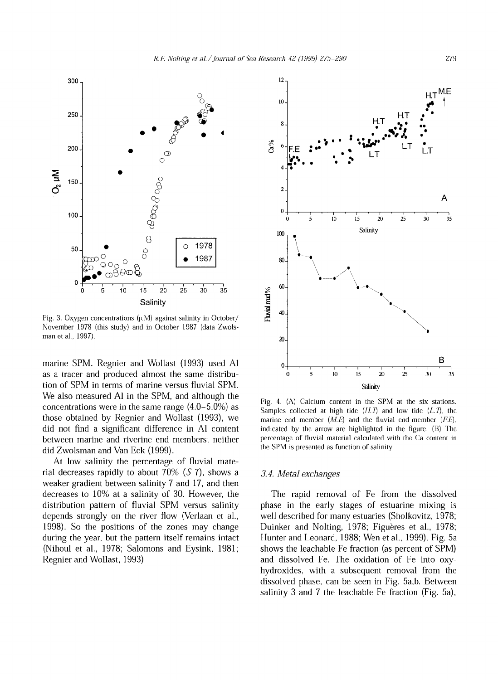

Fig. 3. Oxygen concentrations  $(\mu M)$  against salinity in October/ November 1978 (this study) and in October 1987 (data Zwolsman et al., 1997).

marine SPM. Regnier and Wollast (1993) used Al as a tracer and produced almost the same distribution of SPM in terms of marine versus fluvial SPM. We also measured Al in the SPM, and although the concentrations were in the same range (4.0-5.0%) as those obtained by Regnier and Wollast (1993), we did not find a significant difference in Al content between marine and riverine end members; neither did Zwolsman and Van Eck (1999).

At low salinity the percentage of fluvial material decreases rapidly to about 70% *(S* 7), shows a weaker gradient between salinity 7 and 17, and then decreases to 10% at a salinity of 30. However, the distribution pattern of fluvial SPM versus salinity depends strongly on the river flow (Verlaan et al., 1998). So the positions of the zones may change during the year, but the pattern itself remains intact (Nihoul et al., 1978; Salomons and Eysink, 1981; Regnier and Wollast, 1993)



Fig. 4. (A) Calcium content in the SPM at the six stations. Samples collected at high tide  $(H, T)$  and low tide  $(L, T)$ , the marine end member *(M.E)* and the fluvial end-member *(F.E),* indicated by the arrow are highlighted in the figure. (B) The percentage of fluvial material calculated with the Ca content in the SPM is presented as function of salinity.

#### *3.4. Metal exchanges*

The rapid removal of Fe from the dissolved phase in the early stages of estuarine mixing is well described for many estuaries (Sholkovitz, 1978; Duinker and Nolting, 1978; Figuères et al., 1978; Hunter and Leonard, 1988; Wen et al., 1999). Fig. 5a shows the leachable Fe fraction (as percent of SPM) and dissolved Fe. The oxidation of Fe into oxyhydroxides, with a subsequent removal from the dissolved phase, can be seen in Fig. 5a,b. Between salinity 3 and 7 the leachable Fe fraction (Fig. 5a),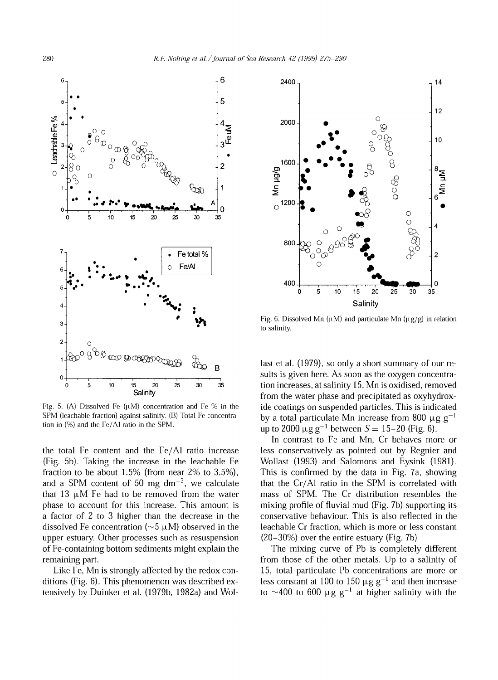

Fig. 5. (A) Dissolved Fe  $(\mu M)$  concentration and Fe % in the SPM (leachable fraction) against salinity. (B) Total Fe concentration in (%) and the Fe/AI ratio in the SPM.

the total Fe content and the Fe/AI ratio increase (Fig. 5b). Taking the increase in the leachable Fe fraction to be about 1.5% (from near 2% to 3.5%), and a SPM content of 50 mg  $dm^{-3}$ , we calculate that 13  $\mu$ M Fe had to be removed from the water phase to account for this increase. This amount is a factor of 2 to 3 higher than the decrease in the dissolved Fe concentration ( $\sim$ 5  $\mu$ M) observed in the upper estuary. Other processes such as resuspension of Fe-containing bottom sediments might explain the remaining part.

Like Fe, Mn is strongly affected by the redox conditions (Fig.  $6$ ). This phenomenon was described extensively by Duinker et al. (1979b, 1982a) and Wol-



Fig. 6. Dissolved Mn ( $\mu$ M) and particulate Mn ( $\mu$ g/g) in relation to salinity.

last et al. (1979), so only a short summary of our results is given here. As soon as the oxygen concentration increases, at salinity 15, Mn is oxidised, removed from the water phase and precipitated as oxyhydroxide coatings on suspended particles. This is indicated by a total particulate Mn increase from 800  $\mu$ g g<sup>-1</sup> up to 2000  $\mu$ g g<sup>-1</sup> between *S* = 15-20 (Fig. 6).

In contrast to Fe and Mn, Cr behaves more or less conservatively as pointed out by Regnier and Wollast (1993) and Salomons and Eysink (1981). This is confirmed by the data in Fig. 7a, showing that the Cr/Al ratio in the SPM is correlated with mass of SPM. The Cr distribution resembles the mixing profile of fluvial mud (Fig. 7b) supporting its conservative behaviour. This is also reflected in the leachable Cr fraction, which is more or less constant (20-30%) over the entire estuary (Fig. 7b)

The mixing curve of Pb is completely different from those of the other metals. Up to a salinity of 15, total particulate Pb concentrations are more or less constant at 100 to 150  $\mu$ g g<sup>-1</sup> and then increase to ~400 to 600  $\mu$ g g<sup>-1</sup> at higher salinity with the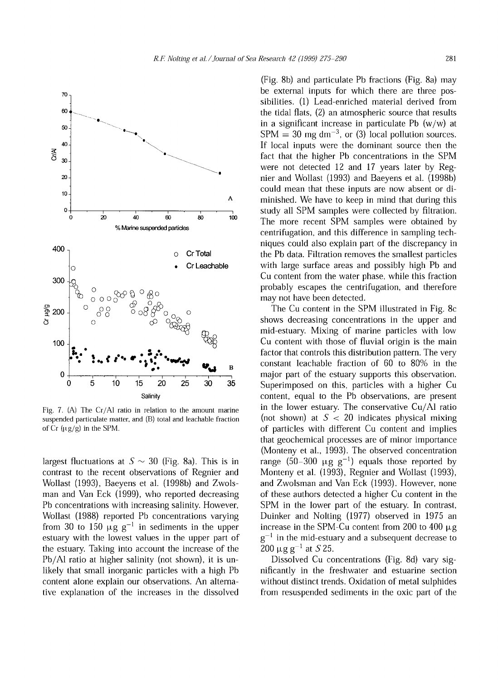

Fig. 7. (A) The Cr/Al ratio in relation to the amount marine suspended particulate matter, and (B) total and leachable fraction of  $Cr$  ( $\mu$ g/g) in the SPM.

largest fluctuations at  $S \sim 30$  (Fig. 8a). This is in contrast to the recent observations of Regnier and Wollast (1993), Baeyens et al. (1998b) and Zwolsman and Van Eck (1999), who reported decreasing Pb concentrations with increasing salinity. However, Wollast (1988) reported Pb concentrations varying from 30 to 150  $\mu$ g g<sup>-1</sup> in sediments in the upper estuary with the lowest values in the upper part of the estuary. Taking into account the increase of the Pb/Al ratio at higher salinity (not shown), it is unlikely that small inorganic particles with a high Pb content alone explain our observations. An alternative explanation of the increases in the dissolved

 $(Fig. 8b)$  and particulate Pb fractions  $(Fig. 8a)$  may be external inputs for which there are three possibilities. (1) Lead-enriched material derived from the tidal flats, (2) an atmospheric source that results in a significant increase in particulate Pb  $(w/w)$  at  $SPM = 30$  mg dm<sup>-3</sup>, or (3) local pollution sources. If local inputs were the dominant source then the fact that the higher Pb concentrations in the SPM were not detected 12 and 17 years later by Regnier and Wollast (1993) and Baeyens et al. (1998b) could mean that these inputs are now absent or diminished. We have to keep in mind that during this study all SPM samples were collected by filtration. The more recent SPM samples were obtained by centrifugation, and this difference in sampling techniques could also explain part of the discrepancy in the Pb data. Filtration removes the smallest particles with large surface areas and possibly high Pb and Cu content from the water phase, while this fraction probably escapes the centrifugation, and therefore may not have been detected.

The Cu content in the SPM illustrated in Fig. 8c. shows decreasing concentrations in the upper and mid-estuary. Mixing of marine particles with low Cu content with those of fluvial origin is the main factor that controls this distribution pattern. The very constant leachable fraction of 60 to 80% in the major part of the estuary supports this observation. Superimposed on this, particles with a higher Cu content, equal to the Pb observations, are present in the lower estuary. The conservative Cu/Al ratio (not shown) at  $S < 20$  indicates physical mixing of particles with different Cu content and implies that geochemical processes are of minor importance (Monteny et al., 1993). The observed concentration range  $(50-300 \text{ µg g}^{-1})$  equals those reported by Monteny et al. (1993), Regnier and Wollast (1993), and Zwolsman and Van Eck (1993). However, none of these authors detected a higher Cu content in the SPM in the lower part of the estuary. In contrast, Duinker and Nolting (1977) observed in 1975 an increase in the SPM-Cu content from 200 to 400  $\mu$ g  $g^{-1}$  in the mid-estuary and a subsequent decrease to  $200 \mu g g^{-1}$  at *S* 25.

Dissolved Cu concentrations (Fig. 8d) vary significantly in the freshwater and estuarine section without distinct trends. Oxidation of metal sulphides from resuspended sediments in the oxic part of the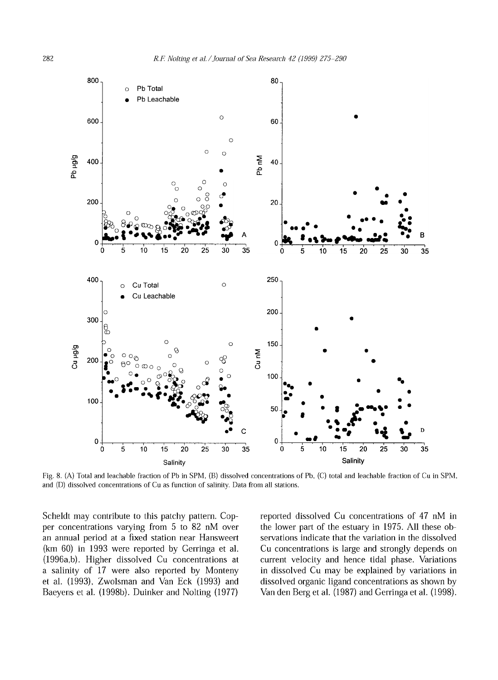

Fig. 8. (A) Total and leachable fraction of Pb in SPM, (B) dissolved concentrations of Pb, (C) total and leachable fraction of Cu in SPM, and (D) dissolved concentrations of Cu as function of salinity. Data from all stations.

Scheldt may contribute to this patchy pattern. Copper concentrations varying from 5 to 82 nM over an annual period at a fixed station near Hansweert (km 60) in 1993 were reported by Gerringa et al. (1996a,b). Higher dissolved Cu concentrations at a salinity of 17 were also reported by Monteny et al. (1993), Zwolsman and Van Eck (1993) and Baeyens et al. (1998b). Duinker and Nolting (1977) reported dissolved Cu concentrations of 47 nM in the lower part of the estuary in 1975. All these observations indicate that the variation in the dissolved Cu concentrations is large and strongly depends on current velocity and hence tidal phase. Variations in dissolved Cu may be explained by variations in dissolved organic ligand concentrations as shown by Van den Berg et al. (1987) and Gerringa et al. (1998).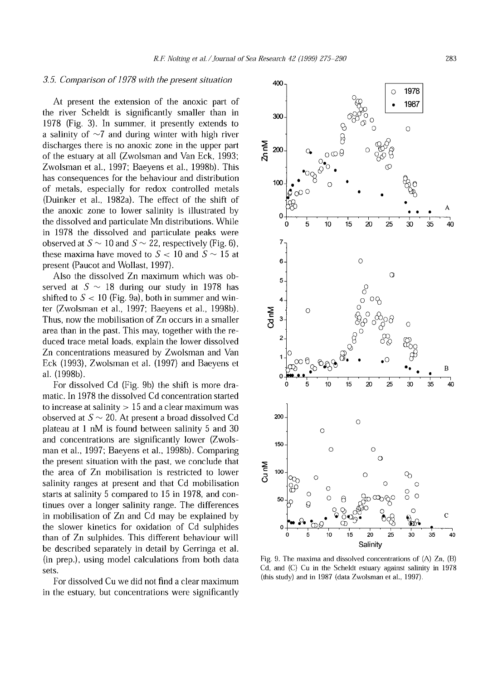#### *3.5. Comparison o f1978 with the present situation*

At present the extension of the anoxic part of the river Scheldt is significantly smaller than in 1978 (Fig. 3). In summer, it presently extends to a salinity of  $\sim$ 7 and during winter with high river discharges there is no anoxic zone in the upper part of the estuary at all (Zwolsman and Van Eck, 1993; Zwolsman et al., 1997; Baeyens et al., 1998b). This has consequences for the behaviour and distribution of metals, especially for redox controlled metals (Duinker et al., 1982a). The effect of the shift of the anoxic zone to lower salinity is illustrated by the dissolved and particulate Mn distributions. While in 1978 the dissolved and particulate peaks were observed at  $S \sim 10$  and  $S \sim 22$ , respectively (Fig. 6), these maxima have moved to  $S < 10$  and  $S \sim 15$  at present (Paucot and Wollast, 1997).

Also the dissolved Zn maximum which was observed at  $S \sim 18$  during our study in 1978 has shifted to  $S < 10$  (Fig. 9a), both in summer and winter (Zwolsman et al., 1997; Baeyens et al., 1998b). Thus, now the mobilisation of Zn occurs in a smaller area than in the past. This may, together with the reduced trace metal loads, explain the lower dissolved Zn concentrations measured by Zwolsman and Van Eck (1993), Zwolsman et al. (1997) and Baeyens et al. (1998b).

For dissolved Cd (Fig. 9b) the shift is more dramatic. In 1978 the dissolved Cd concentration started to increase at salinity  $>15$  and a clear maximum was observed at  $S \sim 20$ . At present a broad dissolved Cd plateau at 1 nM is found between salinity 5 and 30 and concentrations are significantly lower (Zwolsman et al., 1997; Baeyens et al., 1998b). Comparing the present situation with the past, we conclude that the area of Zn mobilisation is restricted to lower salinity ranges at present and that Cd mobilisation starts at salinity 5 compared to 15 in 1978, and continues over a longer salinity range. The differences in mobilisation of Zn and Cd may be explained by the slower kinetics for oxidation of Cd sulphides than of Zn sulphides. This different behaviour will be described separately in detail by Gerringa et al. (in prep.), using model calculations from both data sets.

For dissolved Cu we did not find a clear maximum in the estuary, but concentrations were significantly



Fig. 9. The maxima and dissolved concentrations of (A) Zn, (B) Cd, and (C) Cu in the Scheldt estuary against salinity in 1978 (this study) and in 1987 (data Zwolsman et al., 1997).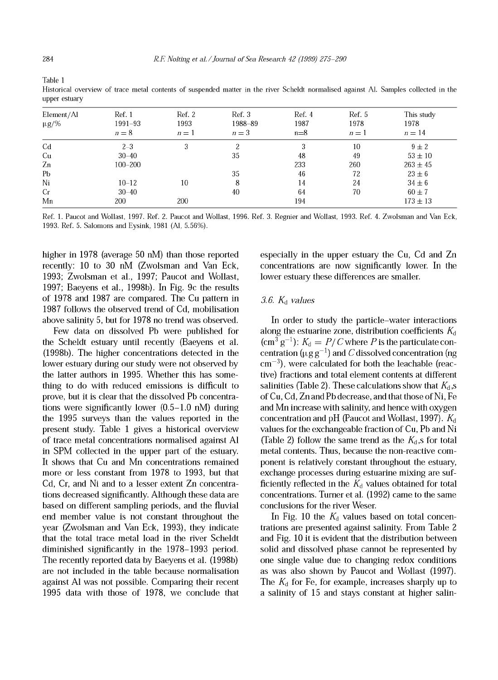| ı<br>ı<br>۹ |  |
|-------------|--|
|             |  |

| Element/Al<br>$\mu$ g/% | Ref. 1<br>1991-93<br>$n=8$ | Ref. 2<br>1993<br>$n=1$ | Ref. 3<br>1988-89<br>$n=3$ | Ref. 4<br>1987<br>$n=8$ | Ref. 5<br>1978<br>$n=1$ | This study<br>1978<br>$n=14$ |
|-------------------------|----------------------------|-------------------------|----------------------------|-------------------------|-------------------------|------------------------------|
| C <sub>d</sub>          | $2 - 3$                    | 3                       | 2                          | 3                       | 10                      | $9 \pm 2$                    |
| Cu                      | $30 - 40$                  |                         | 35                         | 48                      | 49                      | $53 \pm 10$                  |
| Zn                      | 100-200                    |                         |                            | 233                     | 260                     | $263 \pm 45$                 |
| Pb                      |                            |                         | 35                         | 46                      | 72                      | $23 \pm 6$                   |
| Ni                      | $10 - 12$                  | 10                      | 8                          | 14                      | 24                      | $34 \pm 6$                   |
| Cr                      | $30 - 40$                  |                         | 40                         | 64                      | 70                      | $60 \pm 7$                   |
| Mn                      | 200                        | 200                     |                            | 194                     |                         | $173 \pm 13$                 |
|                         |                            |                         |                            |                         |                         |                              |

Historical overview of trace metal contents of suspended matter in the river Scheldt normalised against Al. Samples collected in the upper estuary

Ref. 1. Paucot and Wollast, 1997. Ref. 2. Paucot and Wollast, 1996. Ref. 3. Regnier and Wollast, 1993. Ref. 4. Zwolsman and Van Eck, 1993. Ref. 5. Salomons and Eysink, 1981 (Al, 5.56%).

higher in 1978 (average 50 nM) than those reported recently: 10 to 30 nM (Zwolsman and Van Eck, 1993; Zwolsman et al., 1997; Paucot and Wollast, 1997; Baeyens et al., 1998b). In Fig. 9c the results of 1978 and 1987 are compared. The Cu pattern in 1987 follows the observed trend of Cd, mobilisation above salinity 5, but for 1978 no trend was observed.

Few data on dissolved Pb were published for the Scheldt estuary until recently (Baeyens et al. (1998b). The higher concentrations detected in the lower estuary during our study were not observed by the latter authors in 1995. Whether this has something to do with reduced emissions is difficult to prove, but it is clear that the dissolved Pb concentrations were significantly lower (0.5-1.0 nM) during the 1995 surveys than the values reported in the present study. Table 1 gives a historical overview of trace metal concentrations normalised against Al in SPM collected in the upper part of the estuary. It shows that Cu and Mn concentrations remained more or less constant from 1978 to 1993, but that Cd, Cr, and Ni and to a lesser extent Zn concentrations decreased significanüy. Although these data are based on different sampling periods, and the fluvial end member value is not constant throughout the year (Zwolsman and Van Eck, 1993), they indicate that the total trace metal load in the river Scheldt diminished significantly in the 1978-1993 period. The recently reported data by Baeyens et al. (1998b) are not included in the table because normalisation against Al was not possible. Comparing their recent 1995 data with those of 1978, we conclude that

especially in the upper estuary the Cu, Cd and Zn concentrations are now significanüy lower. In the lower estuary these differences are smaller.

## *3.6. K¿ values*

In order to study the particle-water interactions along the estuarine zone, distribution coefficients *K¿*  $(\text{cm}^3 \text{ g}^{-1})$ :  $K_d = P / C$  where *P* is the particulate concentration ( $\mu$ g g<sup>-1</sup>) and *C* dissolved concentration (ng  $\text{cm}^{-3}$ ), were calculated for both the leachable (reactive) fractions and total element contents at different salinities (Table 2). These calculations show that  $K_d$ ,s of Cu, Cd, Zn and Pb decrease, and that those of Ni, Fe and Mn increase with salinity, and hence with oxygen concentration and pH (Paucot and Wollast, 1997). *Ká* values for the exchangeable fraction of Cu, Pb and Ni (Table 2) follow the same trend as the  $K_d$ , s for total metal contents. Thus, because the non-reactive component is relatively constant throughout the estuary, exchange processes during estuarine mixing are sufficiently reflected in the  $K_d$  values obtained for total concentrations. Turner et al. (1992) came to the same conclusions for the river Weser.

In Fig. 10 the  $K_d$  values based on total concentrations are presented against salinity. From Table 2 and Fig. 10 it is evident that the distribution between solid and dissolved phase cannot be represented by one single value due to changing redox conditions as was also shown by Paucot and Wollast (1997). The *Ká* for Fe, for example, increases sharply up to a salinity of 15 and stays constant at higher salin-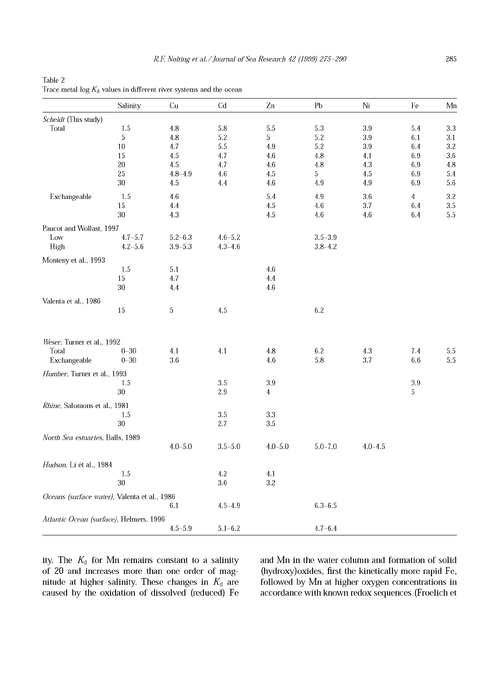| Table 2                                                                      |  |
|------------------------------------------------------------------------------|--|
| Trace metal $\log K_{\rm d}$ values in different river systems and the ocean |  |

|                                              | Salinity    | Cu                 | Cd          | Zn             | Pb          | Ni          | Fe             | Mn         |
|----------------------------------------------|-------------|--------------------|-------------|----------------|-------------|-------------|----------------|------------|
| Scheldt (This study)                         |             |                    |             |                |             |             |                |            |
| Total                                        | $1.5\,$     | 4.8                | 5.8         | 5.5            | 5.3         | $3.9\,$     | 5.4            | 3.3        |
|                                              | 5           | $4.8\,$            | $5.2\,$     | 5              | 5.2         | 3.9         | $6.1\,$        | 3.1        |
|                                              | 10          | 4.7                | 5.5         | 4.9            | 5.2         | 3.9         | 6.4            | 3.2        |
|                                              | 15<br>20    | $4.5\,$<br>$4.5\,$ | 4.7         | 4.6            | 4.8         | 4.1         | $6.9\,$        | 3.6        |
|                                              | 25          | $4.8 - 4.9$        | 4.7<br>4.6  | 4.6<br>4.5     | 4.8<br>5    | 4.3<br>4.5  | 6.9<br>$6.9\,$ | 4.8<br>5.4 |
|                                              | 30          | 4.5                | 4.4         | 4.6            | 4.9         | 4.9         | $6.9\,$        | 5.6        |
| Exchangeable                                 | 1.5         | 4.6                |             | 5.4            | 4.9         | 3.6         | 4              | 3.2        |
|                                              | 15          | 4.4                |             | 4.5            | 4.6         | 3.7         | 6.4            | 3.5        |
|                                              | 30          | 4.3                |             | 4.5            | 4.6         | 4.6         | 6.4            | 5.5        |
| Paucot and Wollast, 1997                     |             |                    |             |                |             |             |                |            |
| Low                                          | $4.7 - 5.7$ | $5.2 - 6.3$        | $4.6 - 5.2$ |                | $3.5 - 3.9$ |             |                |            |
| High                                         | $4.2 - 5.6$ | $3.9 - 5.3$        | $4.3 - 4.6$ |                | $3.8 - 4.2$ |             |                |            |
| Monteny et al., 1993                         |             |                    |             |                |             |             |                |            |
|                                              | 1.5         | 5.1                |             | 4.6            |             |             |                |            |
|                                              | 15<br>30    | 4.7<br>4.4         |             | 4.4<br>4.6     |             |             |                |            |
|                                              |             |                    |             |                |             |             |                |            |
| Valenta et al., 1986                         | 15          | 5                  | 4.5         |                | 6.2         |             |                |            |
|                                              |             |                    |             |                |             |             |                |            |
| Weser, Turner et al., 1992                   |             |                    |             |                |             |             |                |            |
| Total                                        | $0 - 30$    | 4.1                | 4.1         | $4.8\,$        | 6.2         | $4.3\,$     | $7.4\,$        | 5.5        |
| Exchangeable                                 | $0 - 30$    | 3.6                |             | $4.6\,$        | 5.8         | 3.7         | $6.6\,$        | 5.5        |
| Humber, Turner et al., 1993                  |             |                    |             |                |             |             |                |            |
|                                              | 1.5         |                    | 3.5         | $3.9\,$        |             |             | $3.9\,$        |            |
|                                              | 30          |                    | 2.9         | $\overline{4}$ |             |             | 5              |            |
| Rhine, Salomons et al., 1981                 |             |                    |             |                |             |             |                |            |
|                                              | $1.5\,$     |                    | $3.5\,$     | $3.3\,$        |             |             |                |            |
|                                              | $30\,$      |                    | 2.7         | 3.5            |             |             |                |            |
| North Sea estuaries, Balls, 1989             |             |                    |             |                |             |             |                |            |
|                                              |             | $4.0 - 5.0$        | $3.5 - 5.0$ | $4.0 - 5.0$    | $5.0 - 7.0$ | $4.0 - 4.5$ |                |            |
| Hudson, Li et al., 1984                      |             |                    |             |                |             |             |                |            |
|                                              | $1.5\,$     |                    | $4.2\,$     | 4.1            |             |             |                |            |
|                                              | 30          |                    | 3.6         | 3.2            |             |             |                |            |
| Oceans (surface water), Valenta et al., 1986 |             |                    |             |                |             |             |                |            |
|                                              |             | 6.1                | $4.5 - 4.9$ |                | $6.3 - 6.5$ |             |                |            |
| Atlantic Ocean (surface), Helmers, 1996      |             |                    |             |                |             |             |                |            |
|                                              |             | $4.5 - 5.9$        | $5.1 - 6.2$ |                | $4.7 - 6.4$ |             |                |            |

ity. The *K¿* for Mn remains constant to a salinity of 20 and increases more than one order of magnitude at higher salinity. These changes in *K¿* are caused by the oxidation of dissolved (reduced) Fe and Mn in the water column and formation of solid (hydroxy)oxides, first the kinetically more rapid Fe, followed by Mn at higher oxygen concentrations in accordance with known redox sequences (Froelich et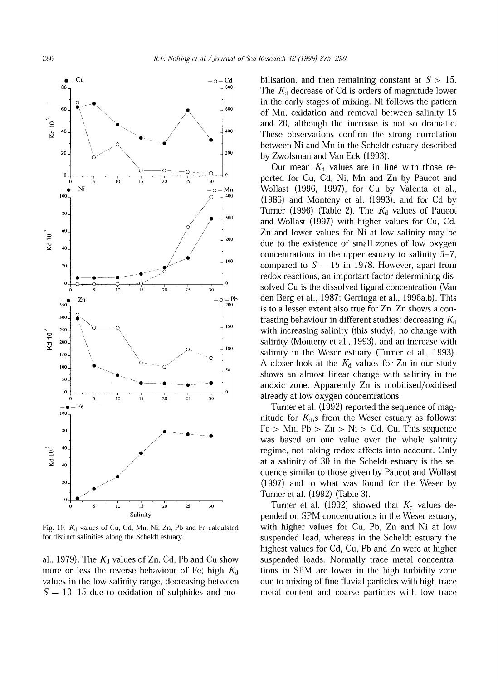

Fig. 10. *Kd* values of Cu, Cd, Mn, Ni, Zn, Pb and Fe calculated for distinct salinities along the Scheldt estuary.

al., 1979). The  $K_d$  values of Zn, Cd, Pb and Cu show more or less the reverse behaviour of Fe; high *K¿* values in the low salinity range, decreasing between  $S = 10-15$  due to oxidation of sulphides and mo-

bilisation, and then remaining constant at  $S > 15$ . The  $K_d$  decrease of Cd is orders of magnitude lower in the early stages of mixing. Ni follows the pattern of Mn, oxidation and removal between salinity 15 and 20, although the increase is not so dramatic. These observations confirm the strong correlation between Ni and Mn in the Scheldt estuary described by Zwolsman and Van Eck (1993).

Our mean  $K_d$  values are in line with those reported for Cu, Cd, Ni, Mn and Zn by Paucot and Wollast (1996, 1997), for Cu by Valenta et al., (1986) and Monteny et al. (1993), and for Cd by Turner (1996) (Table 2). The *Ká* values of Paucot and Wollast (1997) with higher values for Cu, Cd, Zn and lower values for Ni at low salinity may be due to the existence of small zones of low oxygen concentrations in the upper estuary to salinity 5-7, compared to  $S = 15$  in 1978. However, apart from redox reactions, an important factor determining dissolved Cu is the dissolved ligand concentration (Van den Berg et al., 1987; Gerringa et al., 1996a,b). This is to a lesser extent also true for Zn. Zn shows a contrasting behaviour in different studies: decreasing  $K_d$ with increasing salinity (this study), no change with salinity (Monteny et al., 1993), and an increase with salinity in the Weser estuary (Turner et al., 1993). A closer look at the *K¿* values for Zn in our study shows an almost linear change with salinity in the anoxic zone. Apparently Zn is mobilised/oxidised already at low oxygen concentrations.

Turner et al. (1992) reported the sequence of magnitude for  $K_d$ ,s from the Weser estuary as follows:  $Fe > Mn$ ,  $Pb > Zn > Ni > Cd$ . Cu. This sequence was based on one value over the whole salinity regime, not taking redox affects into account. Only at a salinity of 30 in the Scheldt estuary is the sequence similar to those given by Paucot and Wollast (1997) and to what was found for the Weser by Turner et al. (1992) (Table 3).

Turner et al. (1992) showed that *K¿* values depended on SPM concentrations in the Weser estuary, with higher values for Cu, Pb, Zn and Ni at low suspended load, whereas in the Scheldt estuary the highest values for Cd, Cu, Pb and Zn were at higher suspended loads. Normally trace metal concentrations in SPM are lower in the high turbidity zone due to mixing of fine fluvial particles with high trace metal content and coarse particles with low trace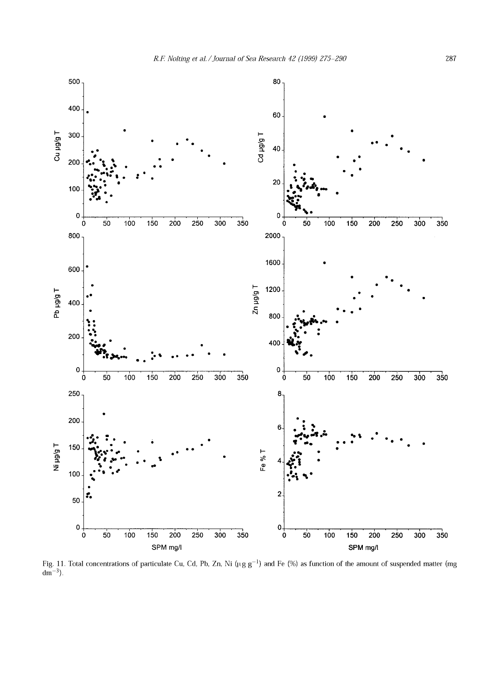

Fig. 11. Total concentrations of particulate Cu, Cd, Pb, Zn, Ni ( $\mu$ g g<sup>-1</sup>) and Fe (%) as function of the amount of suspended matter (mg  $dm^{-3}$ ).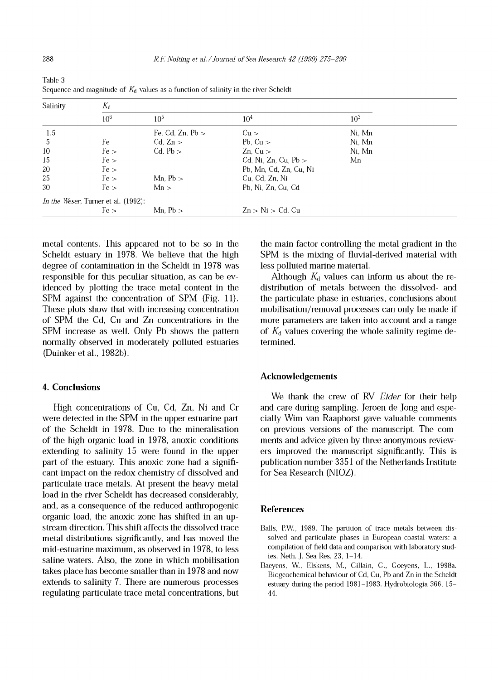| Salinity | $K_{\rm d}$                                 |                    |                        |                 |  |  |  |  |
|----------|---------------------------------------------|--------------------|------------------------|-----------------|--|--|--|--|
|          | 10 <sup>6</sup>                             | $10^{5}$           | 10 <sup>4</sup>        | 10 <sup>3</sup> |  |  |  |  |
| 1.5      |                                             | Fe, Cd, Zn, $Pb >$ | $Cu$ >                 | Ni, Mn          |  |  |  |  |
| -5       | Fe                                          | $Cd$ , $Zn >$      | Pb, $Cu$ >             | Ni. Mn          |  |  |  |  |
| 10       | Fe >                                        | $Cd$ , $Pb >$      | $Zn$ , $Cu >$          | Ni, Mn          |  |  |  |  |
| 15       | Fe >                                        |                    | Cd, Ni, Zn, Cu, Pb $>$ | Mn              |  |  |  |  |
| $20\,$   | Fe >                                        |                    | Pb, Mn, Cd, Zn, Cu, Ni |                 |  |  |  |  |
| 25       | Fe >                                        | Mn, $Pb$ >         | Cu, Cd, Zn, Ni         |                 |  |  |  |  |
| 30       | Fe >                                        | Mn >               | Pb. Ni. Zn. Cu. Cd.    |                 |  |  |  |  |
|          | <i>In the Weser</i> , Turner et al. (1992): |                    |                        |                 |  |  |  |  |
|          | Fe >                                        | Mn. $Pb$ >         | $Zn > Ni > Cd$ , Cu    |                 |  |  |  |  |

Table 3 Sequence and magnitude of  $K_d$  values as a function of salinity in the river Scheldt

metal contents. This appeared not to be so in the Scheldt estuary in 1978. We believe that the high degree of contamination in the Scheldt in 1978 was responsible for this peculiar situation, as can be evidenced by plotting the trace metal content in the SPM against the concentration of SPM (Fig. 11). These plots show that with increasing concentration of SPM the Cd, Cu and Zn concentrations in the SPM increase as well. Only Pb shows the pattern normally observed in moderately polluted estuaries (Duinker et al., 1982b).

## **4. Conclusions**

High concentrations of Cu, Cd, Zn, Ni and Cr were detected in the SPM in the upper estuarine part of the Scheldt in 1978. Due to the mineralisation of the high organic load in 1978, anoxic conditions extending to salinity 15 were found in the upper part of the estuary. This anoxic zone had a significant impact on the redox chemistry of dissolved and particulate trace metals. At present the heavy metal load in the river Scheldt has decreased considerably, and, as a consequence of the reduced anthropogenic organic load, the anoxic zone has shifted in an upstream direction. This shift affects the dissolved trace metal distributions significantly, and has moved the mid-estuarine maximum, as observed in 1978, to less saline waters. Also, the zone in which mobilisation takes place has become smaller than in 1978 and now extends to salinity 7. There are numerous processes regulating particulate trace metal concentrations, but the main factor controlling the metal gradient in the SPM is the mixing of fluvial-derived material with less polluted marine material.

Although  $K_d$  values can inform us about the redistribution of metals between the dissolved- and the particulate phase in estuaries, conclusions about mobilisation/removal processes can only be made if more parameters are taken into account and a range of  $K_d$  values covering the whole salinity regime determined.

## **Acknowledgements**

We thank the crew of RV *Eider* for their help and care during sampling. Jeroen de Jong and especially Wim van Raaphorst gave valuable comments on previous versions of the manuscript. The comments and advice given by three anonymous reviewers improved the manuscript significantly. This is publication number 3351 of the Netherlands Institute for Sea Research (NIOZ).

# **References**

- Balls, P.W., 1989. The partition of trace metals between dissolved and particulate phases in European coastal waters: a compilation of field data and comparison with laboratory studies. Neth. J. Sea Res. 23, 1-14.
- Baeyens, W., Elskens, M., Gillain, G., Goeyens, L., 1998a. Biogeochemical behaviour of Cd, Cu, Pb and Zn in the Scheldt estuary during the period 1981-1983. Hydrobiologia 366, 15- 44.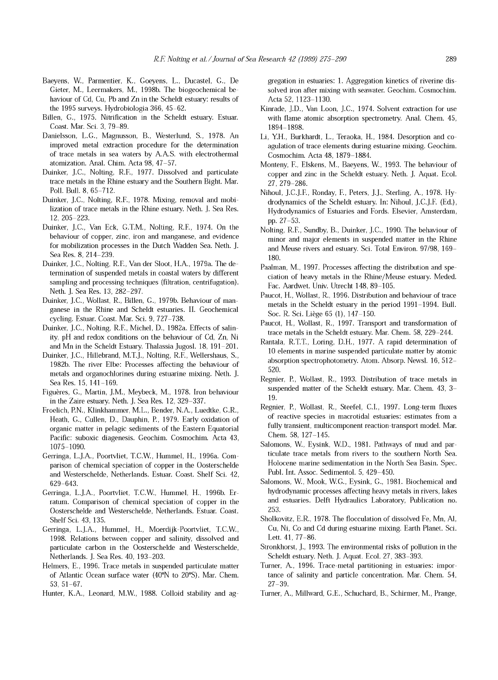- Baeyens, W., Parmentier, K., Goeyens, L., Ducastel, G., De Gieter, M., Leermakers, M., 1998b. The biogeochemical behaviour of Cd, Cu, Pb and Zn in the Scheldt estuary: results of the 1995 surveys. Hydrobiologia 366, 45-62.
- Billen, C., 1975. Nitrification in the Scheldt estuary. Estuar. Coast. Mar. Sei. 3, 79-89.
- Danielsson, L.G., Magnusson, B., Westerlund, S., 1978. An improved metal extraction procedure for the determination of trace metals in sea waters by A.A.S. with electrothermal atomization. Anal. Chim. Acta 98, 47-57.
- Duinker, J.C., Nolting, R.F., 1977. Dissolved and particulate trace metals in the Rhine estuary and the Southern Bight. Mar. Poll. Bull. 8, 65-712.
- Duinker, J.C., Nolting, R.F., 1978. Mixing, removal and mobilization of trace metals in the Rhine estuary. Neth. J. Sea Res. 12, 205-223.
- Duinker, J.C., Van Eck, G.T.M., Nolting, R.F., 1974. On the behaviour of copper, zinc, iron and manganese, and evidence for mobilization processes in the Dutch Wadden Sea. Neth. J. Sea Res. 8, 214-239.
- Duinker, J.C., Nolting, R.F., Van der Sloot, H.A., 1979a. The determination of suspended metals in coastal waters by different sampling and processing techniques (filtration, centrifugation). Neth. J. Sea Res. 13, 282-297.
- Duinker, J.C., Wollast, R., Billen, C., 1979b. Behaviour of manganese in the Rhine and Scheldt estuaries. II. Geochemical cycling. Estuar. Coast. Mar. Sei. 9, 727-738.
- Duinker, J.C., Nolting, R.F., Michel, D., 1982a. Effects of salinity, pH and redox conditions on the behaviour of Cd, Zn, Ni and Mn in the Scheldt Estuary. Thalassia Jugosl. 18, 191-201.
- Duinker, J.C., Hillebrand, M.T.J., Nolting, R.F., Wellershaus, S., 1982b. The river Elbe: Processes affecting the behaviour of metals and organochlorines during estuarine mixing. Neth. J. Sea Res. 15, 141-169.
- Figuères, G., Martin, J.M., Meybeck, M., 1978. Iron behaviour in the Zaire estuary. Neth. J. Sea Res. 12, 329-337.
- Froelich, P.N., Klinkhammer, M.L., Bender, N.A., Luedtke, G.R., Heath, G., Cullen, D., Dauphin, P., 1979. Early oxidation of organic matter in pelagic sediments of the Eastern Equatorial Pacific: suboxic diagenesis. Geochim. Cosmochim. Acta 43, 1075-1090.
- Gerringa, L.J.A., Poortvliet, T.C.W., Hummel, H., 1996a. Comparison of chemical speciation of copper in the Oosterschelde and Westerschelde, Netherlands. Estuar. Coast. Shelf Sei. 42, 629-643.
- Gerringa, L.J.A., Poortvliet, T.C.W., Hummel, H., 1996b. Erratum. Comparison of chemical speciation of copper in the Oosterschelde and Westerschelde, Netherlands. Estuar. Coast. Shelf Sei. 43, 135.
- Gerringa, L.J.A., Hummel, H., Moerdijk-Poortvliet, T.C.W., 1998. Relations between copper and salinity, dissolved and particulate carbon in the Oosterschelde and Westerschelde, Netherlands. J. Sea Res. 40, 193-203.
- Helmers, E., 1996. Trace metals in suspended particulate matter of Atlantic Ocean surface water (40°N to 20°S). Mar. Chem. 53, 51-67.
- Hunter, K.A., Leonard, M.W., 1988. Colloid stability and ag-

gregation in estuaries: 1. Aggregation kinetics of riverine dissolved iron after mixing with seawater. Geochim. Cosmochim. Acta 52, 1123-1130.

- Kinrade, J.D., Van Loon, J.C., 1974. Solvent extraction for use with flame atomic absorption spectrometry. Anal. Chem. 45, 1894-1898.
- Li, Y.H., Burkhardt, L., Teraoka, H., 1984. Desorption and coagulation of trace elements during estuarine mixing. Geochim. Cosmochim. Acta 48, 1879-1884.
- Monteny, F., Elskens, M., Baeyens, W., 1993. The behaviour of copper and zinc in the Scheldt estuary. Neth. J. Aquat. Ecol. 27, 279-286.
- Nihoul, J.C.J.F., Ronday, F., Peters, J.J., Sterling, A., 1978. Hydrodynamics of the Scheldt estuary. In: Nihoul, J.C.J.F. (Ed.), Hydrodynamics of Estuaries and Fords. Elsevier, Amsterdam, pp. 27-53.
- Nolting, R.F., Sundby, B., Duinker, J.C., 1990. The behaviour of minor and major elements in suspended matter in the Rhine and Meuse rivers and estuary. Sei. Total Environ. 97/98, 169- 180.
- Paalman, M., 1997. Processes affecting the distribution and speciation of heavy metals in the Rhine/Meuse estuary. Meded. Fac. Aardwet. Univ. Utrecht 148, 89-105.
- Paucot, H., Wollast, R., 1996. Distribution and behaviour of trace metals in the Scheldt estuary in the period 1991-1994. Bull. Soc. R. Sei. Liège 65 (1), 147-150.
- Paucot, H., Wollast, R., 1997. Transport and transformation of trace metals in the Scheldt estuary. Mar. Chem. 58, 229-244.
- Rantala, R.T.T., Loring, D.H., 1977. A rapid determination of 10 elements in marine suspended particulate matter by atomic absorption spectrophotometry. Atom. Absorp. Newsl. 16, 512- 520.
- Regnier, P., Wollast, R., 1993. Distribution of trace metals in suspended matter of the Scheldt estuary. Mar. Chem. 43, 3- 19.
- Regnier, P., Wollast, R., Steefel, C.I., 1997. Long-term fluxes of reactive species in macrotidal estuaries: estimates from a fully transient, multicomponent reaction-transport model. Mar. Chem. 58, 127-145.
- Salomons, W., Eysink, W.D., 1981. Pathways of mud and particulate trace metals from rivers to the southern North Sea. Holocene marine sedimentation in the North Sea Basin. Spec. Publ. Int. Assoc. Sedimentol. 5, 429-450.
- Salomons, W., Mook, W.G., Eysink, G., 1981. Biochemical and hydrodynamic processes affecting heavy metals in rivers, lakes and estuaries. Delft Hydraulics Laboratory, Publication no. 253.
- Sholkovitz, E.R., 1978. The flocculation of dissolved Fe, Mn, Al, Cu, Ni, Co and Cd during estuarine mixing. Earth Planet. Sei. Lett. 41, 77-86.
- Stronkhorst, J., 1993. The environmental risks of pollution in the Scheldt estuary. Neth. J. Aquat. Ecol. 27, 383-393.
- Turner, A., 1996. Trace-metal partitioning in estuaries: importance of salinity and particle concentration. Mar. Chem. 54, 27-39.
- Turner, A., Millward, G.E., Schuchard, B., Schirmer, M., Prange,